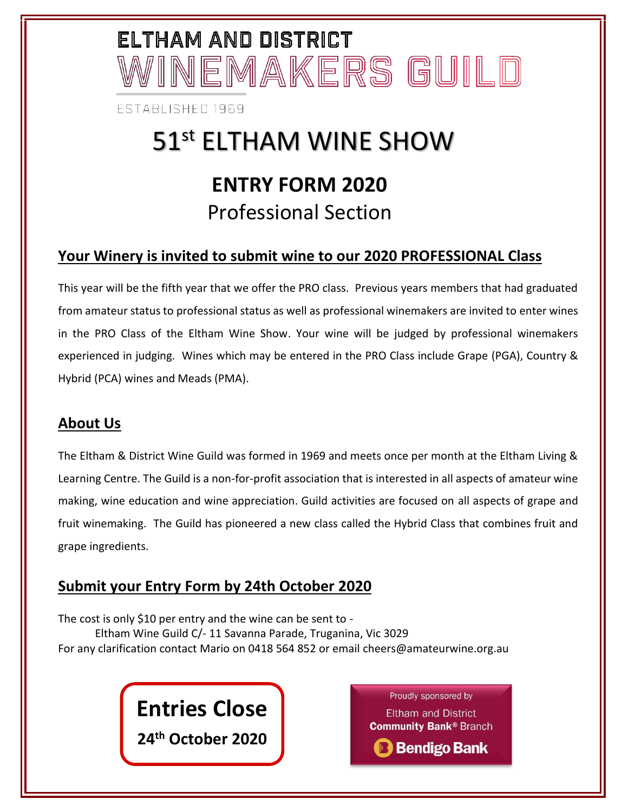# ELTHAM AND DISTRICT 'INEMAKERS GUILD

**FSTABLISHED 1969** 

## 51<sup>st</sup> ELTHAM WINE SHOW **ENTRY FORM 2020** Professional Section

#### **Your Winery is invited to submit wine to our 2020 PROFESSIONAL Class**

This year will be the fifth year that we offer the PRO class. Previous years members that had graduated from amateur status to professional status as well as professional winemakers are invited to enter wines in the PRO Class of the Eltham Wine Show. Your wine will be judged by professional winemakers experienced in judging. Wines which may be entered in the PRO Class include Grape (PGA), Country & Hybrid (PCA) wines and Meads (PMA).

#### **About Us**

The Eltham & District Wine Guild was formed in 1969 and meets once per month at the Eltham Living & Learning Centre. The Guild is a non-for-profit association that is interested in all aspects of amateur wine making, wine education and wine appreciation. Guild activities are focused on all aspects of grape and fruit winemaking. The Guild has pioneered a new class called the Hybrid Class that combines fruit and grape ingredients.

#### **Submit your Entry Form by 24th October 2020**

The cost is only \$10 per entry and the wine can be sent to - Eltham Wine Guild C/- 11 Savanna Parade, Truganina, Vic 3029 For any clarification contact Mario on 0418 564 852 or email cheers@amateurwine.org.au

**Entries Close**

**24th October 2020**

Proudly sponsored by **Eltham and District Community Bank® Branch B** Bendigo Bank